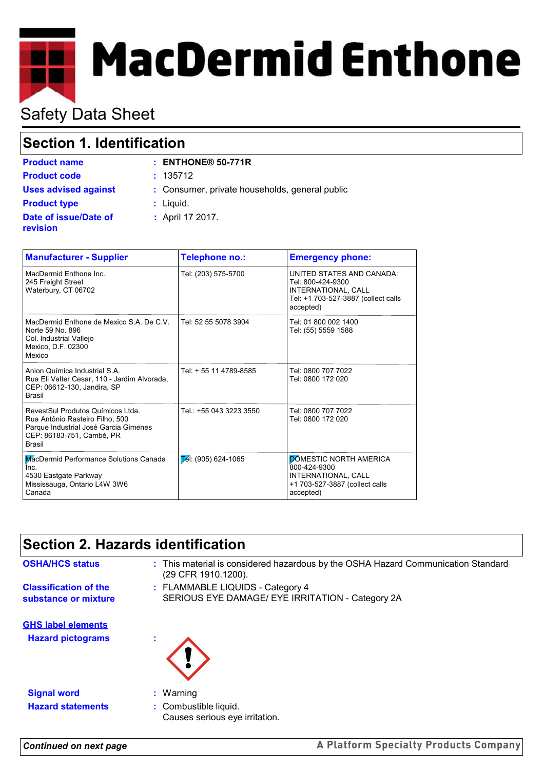# **MacDermid Enthone**

# Safety Data Sheet

## **Section 1. Identification**

| <b>Product name</b>                      | $:$ ENTHONE <sup>®</sup> 50-771R               |
|------------------------------------------|------------------------------------------------|
| <b>Product code</b>                      | : 135712                                       |
| <b>Uses advised against</b>              | : Consumer, private households, general public |
| <b>Product type</b>                      | $:$ Liquid.                                    |
| Date of issue/Date of<br><b>revision</b> | : April 17 2017.                               |

| <b>Manufacturer - Supplier</b>                                                                                                                              | Telephone no.:          | <b>Emergency phone:</b>                                                                                                   |
|-------------------------------------------------------------------------------------------------------------------------------------------------------------|-------------------------|---------------------------------------------------------------------------------------------------------------------------|
| MacDermid Enthone Inc.<br>245 Freight Street<br>Waterbury, CT 06702                                                                                         | Tel: (203) 575-5700     | UNITED STATES AND CANADA:<br>Tel: 800-424-9300<br>INTERNATIONAL, CALL<br>Tel: +1 703-527-3887 (collect calls<br>accepted) |
| MacDermid Enthone de Mexico S.A. De C.V.<br>Norte 59 No. 896<br>Col. Industrial Vallejo<br>Mexico, D.F. 02300<br>Mexico                                     | Tel: 52 55 5078 3904    | Tel: 01 800 002 1400<br>Tel: (55) 5559 1588                                                                               |
| Anion Química Industrial S.A.<br>Rua Eli Valter Cesar, 110 - Jardim Alvorada,<br>CEP: 06612-130, Jandira, SP<br><b>Brasil</b>                               | Tel: + 55 11 4789-8585  | Tel: 0800 707 7022<br>Tel: 0800 172 020                                                                                   |
| RevestSul Produtos Químicos Ltda.<br>Rua Antônio Rasteiro Filho, 500<br>Parque Industrial José Garcia Gimenes<br>CEP: 86183-751, Cambé, PR<br><b>Brasil</b> | Tel.: +55 043 3223 3550 | Tel: 0800 707 7022<br>Tel: 0800 172 020                                                                                   |
| MacDermid Performance Solutions Canada<br>Inc.<br>4530 Eastgate Parkway<br>Mississauga, Ontario L4W 3W6<br>Canada                                           | $E$ el: (905) 624-1065  | <b>DOMESTIC NORTH AMERICA</b><br>800-424-9300<br>INTERNATIONAL, CALL<br>+1 703-527-3887 (collect calls<br>accepted)       |

## **Section 2. Hazards identification**

**Classification of the substance or mixture** FLAMMABLE LIQUIDS - Category 4 **:** (29 CFR 1910.1200).

SERIOUS EYE DAMAGE/ EYE IRRITATION - Category 2A

**OSHA/HCS status :** This material is considered hazardous by the OSHA Hazard Communication Standard

**Hazard pictograms : GHS label elements**



**Signal word :** Warning **Hazard statements :** Combustible liquid.

- 
- Causes serious eye irritation.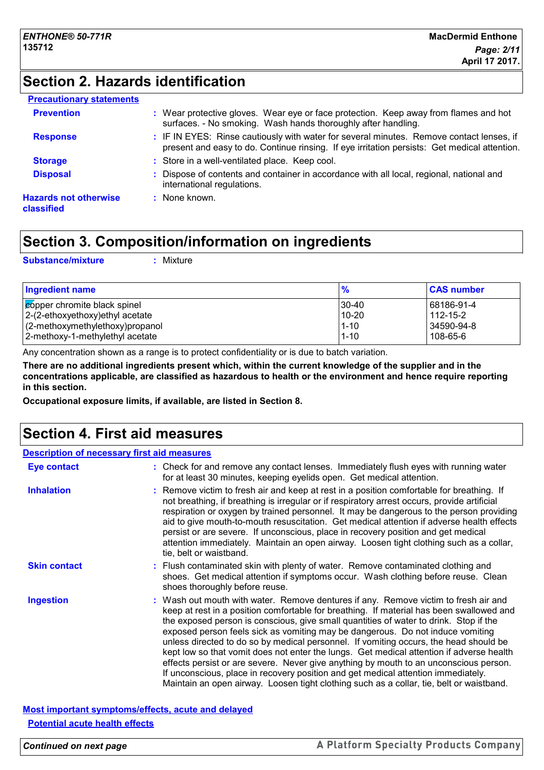## **Section 2. Hazards identification**

| <b>Precautionary statements</b>            |                                                                                                                                                                                          |
|--------------------------------------------|------------------------------------------------------------------------------------------------------------------------------------------------------------------------------------------|
| <b>Prevention</b>                          | : Wear protective gloves. Wear eye or face protection. Keep away from flames and hot<br>surfaces. - No smoking. Wash hands thoroughly after handling.                                    |
| <b>Response</b>                            | : IF IN EYES: Rinse cautiously with water for several minutes. Remove contact lenses, if<br>present and easy to do. Continue rinsing. If eye irritation persists: Get medical attention. |
| <b>Storage</b>                             | : Store in a well-ventilated place. Keep cool.                                                                                                                                           |
| <b>Disposal</b>                            | : Dispose of contents and container in accordance with all local, regional, national and<br>international regulations.                                                                   |
| <b>Hazards not otherwise</b><br>classified | : None known.                                                                                                                                                                            |

## **Section 3. Composition/information on ingredients**

**Substance/mixture :** Mixture

| <b>Ingredient name</b>              | $\frac{9}{6}$ | <b>CAS number</b> |
|-------------------------------------|---------------|-------------------|
| copper chromite black spinel        | 130-40        | 68186-91-4        |
| $ 2-(2-ethoxyethoxy)ethyl$ acetate  | 10-20         | 112-15-2          |
| $(2$ -methoxymethylethoxy) propanol | $1 - 10$      | 34590-94-8        |
| 2-methoxy-1-methylethyl acetate     | $1 - 10$      | 108-65-6          |

Any concentration shown as a range is to protect confidentiality or is due to batch variation.

**There are no additional ingredients present which, within the current knowledge of the supplier and in the concentrations applicable, are classified as hazardous to health or the environment and hence require reporting in this section.**

**Occupational exposure limits, if available, are listed in Section 8.**

## **Section 4. First aid measures**

| <b>Description of necessary first aid measures</b> |                                                                                                                                                                                                                                                                                                                                                                                                                                                                                                                                                                                                                                                                                                                                                                                                                           |
|----------------------------------------------------|---------------------------------------------------------------------------------------------------------------------------------------------------------------------------------------------------------------------------------------------------------------------------------------------------------------------------------------------------------------------------------------------------------------------------------------------------------------------------------------------------------------------------------------------------------------------------------------------------------------------------------------------------------------------------------------------------------------------------------------------------------------------------------------------------------------------------|
| <b>Eye contact</b>                                 | : Check for and remove any contact lenses. Immediately flush eyes with running water<br>for at least 30 minutes, keeping eyelids open. Get medical attention.                                                                                                                                                                                                                                                                                                                                                                                                                                                                                                                                                                                                                                                             |
| <b>Inhalation</b>                                  | : Remove victim to fresh air and keep at rest in a position comfortable for breathing. If<br>not breathing, if breathing is irregular or if respiratory arrest occurs, provide artificial<br>respiration or oxygen by trained personnel. It may be dangerous to the person providing<br>aid to give mouth-to-mouth resuscitation. Get medical attention if adverse health effects<br>persist or are severe. If unconscious, place in recovery position and get medical<br>attention immediately. Maintain an open airway. Loosen tight clothing such as a collar,<br>tie, belt or waistband.                                                                                                                                                                                                                              |
| <b>Skin contact</b>                                | : Flush contaminated skin with plenty of water. Remove contaminated clothing and<br>shoes. Get medical attention if symptoms occur. Wash clothing before reuse. Clean<br>shoes thoroughly before reuse.                                                                                                                                                                                                                                                                                                                                                                                                                                                                                                                                                                                                                   |
| <b>Ingestion</b>                                   | : Wash out mouth with water. Remove dentures if any. Remove victim to fresh air and<br>keep at rest in a position comfortable for breathing. If material has been swallowed and<br>the exposed person is conscious, give small quantities of water to drink. Stop if the<br>exposed person feels sick as vomiting may be dangerous. Do not induce vomiting<br>unless directed to do so by medical personnel. If vomiting occurs, the head should be<br>kept low so that vomit does not enter the lungs. Get medical attention if adverse health<br>effects persist or are severe. Never give anything by mouth to an unconscious person.<br>If unconscious, place in recovery position and get medical attention immediately.<br>Maintain an open airway. Loosen tight clothing such as a collar, tie, belt or waistband. |

#### **Most important symptoms/effects, acute and delayed Potential acute health effects**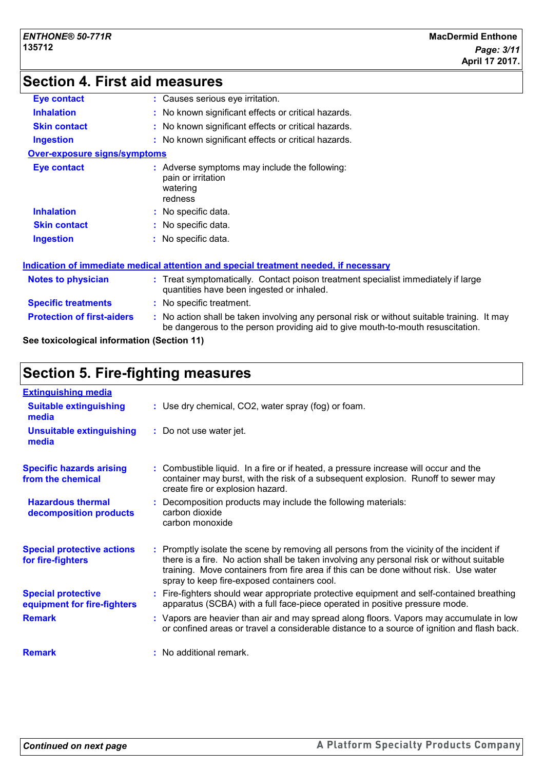## **Section 4. First aid measures**

| <b>Eye contact</b>                  | : Causes serious eye irritation.                                                                                                                                              |  |
|-------------------------------------|-------------------------------------------------------------------------------------------------------------------------------------------------------------------------------|--|
| <b>Inhalation</b>                   | : No known significant effects or critical hazards.                                                                                                                           |  |
| <b>Skin contact</b>                 | : No known significant effects or critical hazards.                                                                                                                           |  |
| <b>Ingestion</b>                    | : No known significant effects or critical hazards.                                                                                                                           |  |
| <b>Over-exposure signs/symptoms</b> |                                                                                                                                                                               |  |
| <b>Eye contact</b>                  | : Adverse symptoms may include the following:<br>pain or irritation<br>watering<br>redness                                                                                    |  |
| <b>Inhalation</b>                   | : No specific data.                                                                                                                                                           |  |
| <b>Skin contact</b>                 | : No specific data.                                                                                                                                                           |  |
| <b>Ingestion</b>                    | : No specific data.                                                                                                                                                           |  |
|                                     | <u>Indication of immediate medical attention and special treatment needed, if necessary</u>                                                                                   |  |
| Notes to physician                  | : Treat symptomatically. Contact poison treatment specialist immediately if large<br>quantities have been ingested or inhaled.                                                |  |
| <b>Specific treatments</b>          | : No specific treatment.                                                                                                                                                      |  |
| <b>Protection of first-aiders</b>   | : No action shall be taken involving any personal risk or without suitable training. It may<br>be dangerous to the person providing aid to give mouth-to-mouth resuscitation. |  |
|                                     |                                                                                                                                                                               |  |

**See toxicological information (Section 11)**

## **Section 5. Fire-fighting measures**

| <b>Extinguishing media</b>                               |                                                                                                                                                                                                                                                                                                                               |
|----------------------------------------------------------|-------------------------------------------------------------------------------------------------------------------------------------------------------------------------------------------------------------------------------------------------------------------------------------------------------------------------------|
| <b>Suitable extinguishing</b><br>media                   | : Use dry chemical, CO2, water spray (fog) or foam.                                                                                                                                                                                                                                                                           |
| <b>Unsuitable extinguishing</b><br>media                 | : Do not use water jet.                                                                                                                                                                                                                                                                                                       |
| <b>Specific hazards arising</b><br>from the chemical     | : Combustible liquid. In a fire or if heated, a pressure increase will occur and the<br>container may burst, with the risk of a subsequent explosion. Runoff to sewer may<br>create fire or explosion hazard.                                                                                                                 |
| <b>Hazardous thermal</b><br>decomposition products       | : Decomposition products may include the following materials:<br>carbon dioxide<br>carbon monoxide                                                                                                                                                                                                                            |
| <b>Special protective actions</b><br>for fire-fighters   | : Promptly isolate the scene by removing all persons from the vicinity of the incident if<br>there is a fire. No action shall be taken involving any personal risk or without suitable<br>training. Move containers from fire area if this can be done without risk. Use water<br>spray to keep fire-exposed containers cool. |
| <b>Special protective</b><br>equipment for fire-fighters | : Fire-fighters should wear appropriate protective equipment and self-contained breathing<br>apparatus (SCBA) with a full face-piece operated in positive pressure mode.                                                                                                                                                      |
| <b>Remark</b>                                            | : Vapors are heavier than air and may spread along floors. Vapors may accumulate in low<br>or confined areas or travel a considerable distance to a source of ignition and flash back.                                                                                                                                        |
| <b>Remark</b>                                            | : No additional remark.                                                                                                                                                                                                                                                                                                       |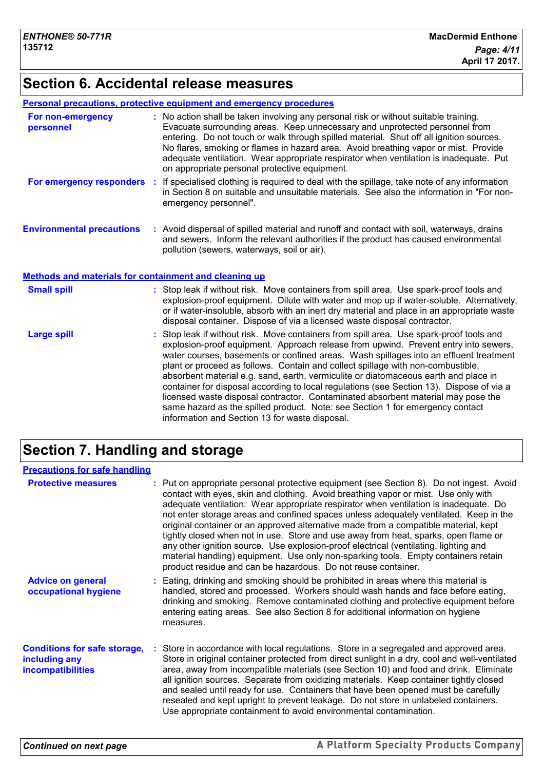## **Section 6. Accidental release measures**

#### **Personal precautions, protective equipment and emergency procedures**

| For non-emergency<br>personnel                               |    | : No action shall be taken involving any personal risk or without suitable training.<br>Evacuate surrounding areas. Keep unnecessary and unprotected personnel from<br>entering. Do not touch or walk through spilled material. Shut off all ignition sources.<br>No flares, smoking or flames in hazard area. Avoid breathing vapor or mist. Provide<br>adequate ventilation. Wear appropriate respirator when ventilation is inadequate. Put<br>on appropriate personal protective equipment. |
|--------------------------------------------------------------|----|-------------------------------------------------------------------------------------------------------------------------------------------------------------------------------------------------------------------------------------------------------------------------------------------------------------------------------------------------------------------------------------------------------------------------------------------------------------------------------------------------|
| For emergency responders                                     | ÷. | If specialised clothing is required to deal with the spillage, take note of any information<br>in Section 8 on suitable and unsuitable materials. See also the information in "For non-<br>emergency personnel".                                                                                                                                                                                                                                                                                |
| <b>Environmental precautions</b>                             |    | : Avoid dispersal of spilled material and runoff and contact with soil, waterways, drains<br>and sewers. Inform the relevant authorities if the product has caused environmental<br>pollution (sewers, waterways, soil or air).                                                                                                                                                                                                                                                                 |
| <b>Methods and materials for containment and cleaning up</b> |    |                                                                                                                                                                                                                                                                                                                                                                                                                                                                                                 |
| <b>Small spill</b>                                           |    | : Stop leak if without risk. Move containers from spill area. Use spark-proof tools and<br>explosion-proof equipment. Dilute with water and mop up if water-soluble. Alternatively,<br>or if water-insoluble, absorb with an inert dry material and place in an appropriate waste<br>disposal container. Dispose of via a licensed waste disposal contractor.                                                                                                                                   |
| <b>Large spill</b>                                           |    | : Stop leak if without risk. Move containers from spill area. Use spark-proof tools and<br>explosion-proof equipment. Approach release from upwind. Prevent entry into sewers,<br>water courses, basements or confined areas. Wash spillages into an effluent treatment<br>plant or proceed as follows. Contain and collect spillage with non-combustible,<br>abearbent material e a cand earth vermiculite or distomaçeous earth and place in                                                  |

absorbent material e.g. sand, earth, vermiculite or diatomaceous earth and place in container for disposal according to local regulations (see Section 13). Dispose of via a licensed waste disposal contractor. Contaminated absorbent material may pose the same hazard as the spilled product. Note: see Section 1 for emergency contact information and Section 13 for waste disposal.

## **Section 7. Handling and storage**

| <b>Precautions for safe handling</b>                                             |                                                                                                                                                                                                                                                                                                                                                                                                                                                                                                                                                                                                                                                                                                                                                                                              |
|----------------------------------------------------------------------------------|----------------------------------------------------------------------------------------------------------------------------------------------------------------------------------------------------------------------------------------------------------------------------------------------------------------------------------------------------------------------------------------------------------------------------------------------------------------------------------------------------------------------------------------------------------------------------------------------------------------------------------------------------------------------------------------------------------------------------------------------------------------------------------------------|
| <b>Protective measures</b>                                                       | : Put on appropriate personal protective equipment (see Section 8). Do not ingest. Avoid<br>contact with eyes, skin and clothing. Avoid breathing vapor or mist. Use only with<br>adequate ventilation. Wear appropriate respirator when ventilation is inadequate. Do<br>not enter storage areas and confined spaces unless adequately ventilated. Keep in the<br>original container or an approved alternative made from a compatible material, kept<br>tightly closed when not in use. Store and use away from heat, sparks, open flame or<br>any other ignition source. Use explosion-proof electrical (ventilating, lighting and<br>material handling) equipment. Use only non-sparking tools. Empty containers retain<br>product residue and can be hazardous. Do not reuse container. |
| <b>Advice on general</b><br>occupational hygiene                                 | : Eating, drinking and smoking should be prohibited in areas where this material is<br>handled, stored and processed. Workers should wash hands and face before eating,<br>drinking and smoking. Remove contaminated clothing and protective equipment before<br>entering eating areas. See also Section 8 for additional information on hygiene<br>measures.                                                                                                                                                                                                                                                                                                                                                                                                                                |
| <b>Conditions for safe storage,</b><br>including any<br><b>incompatibilities</b> | : Store in accordance with local regulations. Store in a segregated and approved area.<br>Store in original container protected from direct sunlight in a dry, cool and well-ventilated<br>area, away from incompatible materials (see Section 10) and food and drink. Eliminate<br>all ignition sources. Separate from oxidizing materials. Keep container tightly closed<br>and sealed until ready for use. Containers that have been opened must be carefully<br>resealed and kept upright to prevent leakage. Do not store in unlabeled containers.<br>Use appropriate containment to avoid environmental contamination.                                                                                                                                                                 |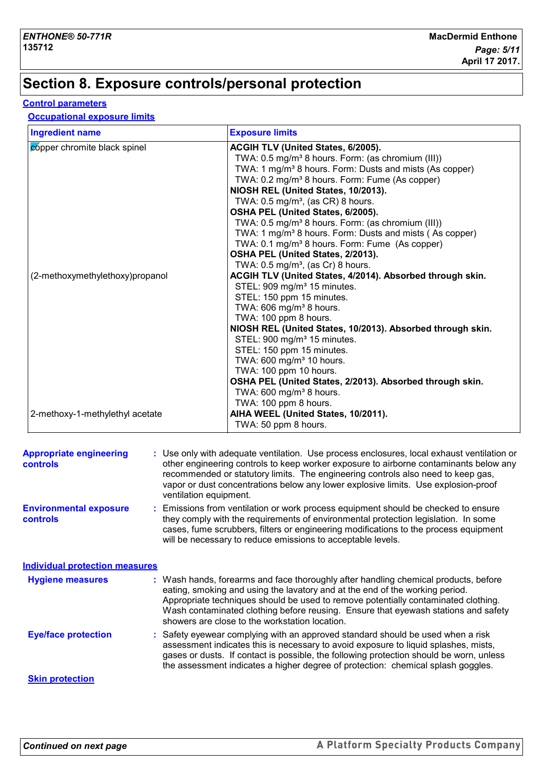## **Section 8. Exposure controls/personal protection**

#### **Control parameters**

#### **Occupational exposure limits**

| <b>Ingredient name</b>          | <b>Exposure limits</b>                                                                                                                                                                                                                                                                                                                                                                                                                                                                                                                                                                            |
|---------------------------------|---------------------------------------------------------------------------------------------------------------------------------------------------------------------------------------------------------------------------------------------------------------------------------------------------------------------------------------------------------------------------------------------------------------------------------------------------------------------------------------------------------------------------------------------------------------------------------------------------|
| copper chromite black spinel    | ACGIH TLV (United States, 6/2005).<br>TWA: 0.5 mg/m <sup>3</sup> 8 hours. Form: (as chromium (III))<br>TWA: 1 mg/m <sup>3</sup> 8 hours. Form: Dusts and mists (As copper)<br>TWA: 0.2 mg/m <sup>3</sup> 8 hours. Form: Fume (As copper)<br>NIOSH REL (United States, 10/2013).<br>TWA: $0.5$ mg/m <sup>3</sup> , (as CR) 8 hours.<br>OSHA PEL (United States, 6/2005).<br>TWA: 0.5 mg/m <sup>3</sup> 8 hours. Form: (as chromium (III))<br>TWA: 1 mg/m <sup>3</sup> 8 hours. Form: Dusts and mists (As copper)<br>TWA: 0.1 mg/m <sup>3</sup> 8 hours. Form: Fume (As copper)                     |
| (2-methoxymethylethoxy)propanol | OSHA PEL (United States, 2/2013).<br>TWA: $0.5 \text{ mg/m}^3$ , (as Cr) 8 hours.<br>ACGIH TLV (United States, 4/2014). Absorbed through skin.<br>STEL: 909 mg/m <sup>3</sup> 15 minutes.<br>STEL: 150 ppm 15 minutes.<br>TWA: 606 mg/m <sup>3</sup> 8 hours.<br>TWA: 100 ppm 8 hours.<br>NIOSH REL (United States, 10/2013). Absorbed through skin.<br>STEL: 900 mg/m <sup>3</sup> 15 minutes.<br>STEL: 150 ppm 15 minutes.<br>TWA: 600 mg/m <sup>3</sup> 10 hours.<br>TWA: 100 ppm 10 hours.<br>OSHA PEL (United States, 2/2013). Absorbed through skin.<br>TWA: 600 mg/m <sup>3</sup> 8 hours. |
| 2-methoxy-1-methylethyl acetate | TWA: 100 ppm 8 hours.<br>AIHA WEEL (United States, 10/2011).<br>TWA: 50 ppm 8 hours.                                                                                                                                                                                                                                                                                                                                                                                                                                                                                                              |

| <b>Appropriate engineering</b><br><b>controls</b> | : Use only with adequate ventilation. Use process enclosures, local exhaust ventilation or<br>other engineering controls to keep worker exposure to airborne contaminants below any<br>recommended or statutory limits. The engineering controls also need to keep gas,<br>vapor or dust concentrations below any lower explosive limits. Use explosion-proof<br>ventilation equipment.           |
|---------------------------------------------------|---------------------------------------------------------------------------------------------------------------------------------------------------------------------------------------------------------------------------------------------------------------------------------------------------------------------------------------------------------------------------------------------------|
| <b>Environmental exposure</b><br><b>controls</b>  | : Emissions from ventilation or work process equipment should be checked to ensure<br>they comply with the requirements of environmental protection legislation. In some<br>cases, fume scrubbers, filters or engineering modifications to the process equipment<br>will be necessary to reduce emissions to acceptable levels.                                                                   |
| <b>Individual protection measures</b>             |                                                                                                                                                                                                                                                                                                                                                                                                   |
| <b>Hygiene measures</b>                           | : Wash hands, forearms and face thoroughly after handling chemical products, before<br>eating, smoking and using the lavatory and at the end of the working period.<br>Appropriate techniques should be used to remove potentially contaminated clothing.<br>Wash contaminated clothing before reusing. Ensure that eyewash stations and safety<br>showers are close to the workstation location. |
| <b>Eye/face protection</b>                        | : Safety eyewear complying with an approved standard should be used when a risk<br>assessment indicates this is necessary to avoid exposure to liquid splashes, mists,<br>gases or dusts. If contact is possible, the following protection should be worn, unless<br>the assessment indicates a higher degree of protection: chemical splash goggles.                                             |
| <b>Skin protection</b>                            |                                                                                                                                                                                                                                                                                                                                                                                                   |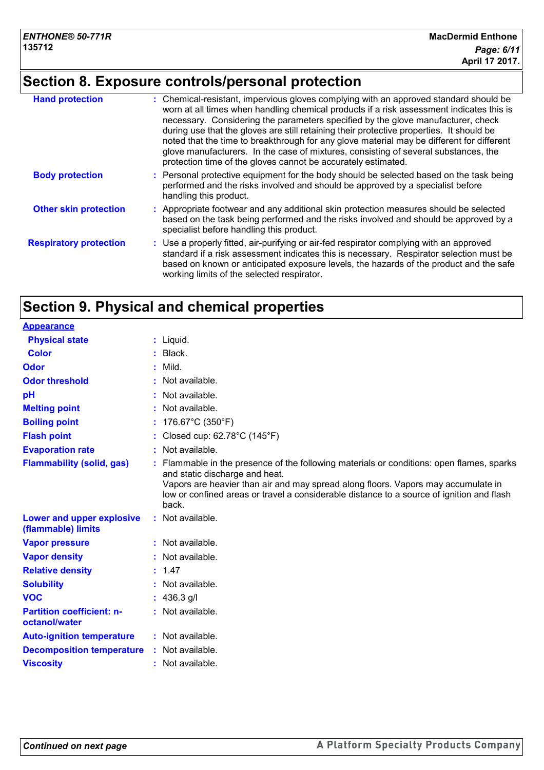# **Section 8. Exposure controls/personal protection**

| <b>Hand protection</b>        | : Chemical-resistant, impervious gloves complying with an approved standard should be<br>worn at all times when handling chemical products if a risk assessment indicates this is<br>necessary. Considering the parameters specified by the glove manufacturer, check<br>during use that the gloves are still retaining their protective properties. It should be<br>noted that the time to breakthrough for any glove material may be different for different<br>glove manufacturers. In the case of mixtures, consisting of several substances, the<br>protection time of the gloves cannot be accurately estimated. |
|-------------------------------|------------------------------------------------------------------------------------------------------------------------------------------------------------------------------------------------------------------------------------------------------------------------------------------------------------------------------------------------------------------------------------------------------------------------------------------------------------------------------------------------------------------------------------------------------------------------------------------------------------------------|
| <b>Body protection</b>        | : Personal protective equipment for the body should be selected based on the task being<br>performed and the risks involved and should be approved by a specialist before<br>handling this product.                                                                                                                                                                                                                                                                                                                                                                                                                    |
| <b>Other skin protection</b>  | : Appropriate footwear and any additional skin protection measures should be selected<br>based on the task being performed and the risks involved and should be approved by a<br>specialist before handling this product.                                                                                                                                                                                                                                                                                                                                                                                              |
| <b>Respiratory protection</b> | : Use a properly fitted, air-purifying or air-fed respirator complying with an approved<br>standard if a risk assessment indicates this is necessary. Respirator selection must be<br>based on known or anticipated exposure levels, the hazards of the product and the safe<br>working limits of the selected respirator.                                                                                                                                                                                                                                                                                             |

## **Section 9. Physical and chemical properties**

| <b>Appearance</b>                                 |                                                                                                                                                                                                                                                                                                                      |
|---------------------------------------------------|----------------------------------------------------------------------------------------------------------------------------------------------------------------------------------------------------------------------------------------------------------------------------------------------------------------------|
| <b>Physical state</b>                             | $:$ Liquid.                                                                                                                                                                                                                                                                                                          |
| <b>Color</b>                                      | Black.                                                                                                                                                                                                                                                                                                               |
| Odor                                              | Mild.                                                                                                                                                                                                                                                                                                                |
| <b>Odor threshold</b>                             | Not available.                                                                                                                                                                                                                                                                                                       |
| pH                                                | Not available.                                                                                                                                                                                                                                                                                                       |
| <b>Melting point</b>                              | Not available.                                                                                                                                                                                                                                                                                                       |
| <b>Boiling point</b>                              | : $176.67^{\circ}$ C (350°F)                                                                                                                                                                                                                                                                                         |
| <b>Flash point</b>                                | Closed cup: 62.78°C (145°F)                                                                                                                                                                                                                                                                                          |
| <b>Evaporation rate</b>                           | : Not available.                                                                                                                                                                                                                                                                                                     |
| <b>Flammability (solid, gas)</b>                  | Flammable in the presence of the following materials or conditions: open flames, sparks<br>and static discharge and heat.<br>Vapors are heavier than air and may spread along floors. Vapors may accumulate in<br>low or confined areas or travel a considerable distance to a source of ignition and flash<br>back. |
| Lower and upper explosive<br>(flammable) limits   | : Not available.                                                                                                                                                                                                                                                                                                     |
| <b>Vapor pressure</b>                             | : Not available.                                                                                                                                                                                                                                                                                                     |
| <b>Vapor density</b>                              | Not available.                                                                                                                                                                                                                                                                                                       |
| <b>Relative density</b>                           | : 1.47                                                                                                                                                                                                                                                                                                               |
| <b>Solubility</b>                                 | Not available.                                                                                                                                                                                                                                                                                                       |
| <b>VOC</b>                                        | : $436.3$ g/l                                                                                                                                                                                                                                                                                                        |
| <b>Partition coefficient: n-</b><br>octanol/water | : Not available.                                                                                                                                                                                                                                                                                                     |
| <b>Auto-ignition temperature</b>                  | : Not available.                                                                                                                                                                                                                                                                                                     |
| <b>Decomposition temperature</b>                  | : Not available.                                                                                                                                                                                                                                                                                                     |
| <b>Viscosity</b>                                  | : Not available.                                                                                                                                                                                                                                                                                                     |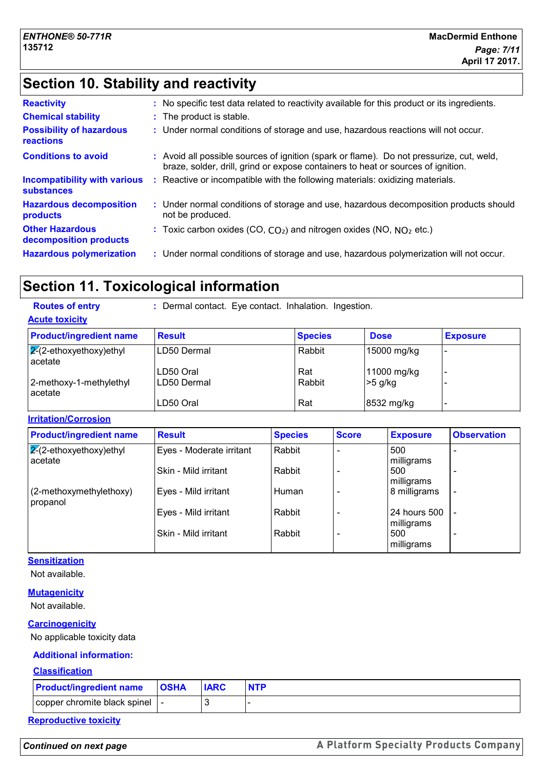## **Section 10. Stability and reactivity**

| <b>Reactivity</b>                                        | : No specific test data related to reactivity available for this product or its ingredients.                                                                                 |
|----------------------------------------------------------|------------------------------------------------------------------------------------------------------------------------------------------------------------------------------|
| <b>Chemical stability</b>                                | : The product is stable.                                                                                                                                                     |
| <b>Possibility of hazardous</b><br>reactions             | : Under normal conditions of storage and use, hazardous reactions will not occur.                                                                                            |
| <b>Conditions to avoid</b>                               | : Avoid all possible sources of ignition (spark or flame). Do not pressurize, cut, weld,<br>braze, solder, drill, grind or expose containers to heat or sources of ignition. |
| <b>Incompatibility with various</b><br><b>substances</b> | Reactive or incompatible with the following materials: oxidizing materials.                                                                                                  |
| <b>Hazardous decomposition</b><br>products               | : Under normal conditions of storage and use, hazardous decomposition products should<br>not be produced.                                                                    |
| <b>Other Hazardous</b><br>decomposition products         | : Toxic carbon oxides (CO, $CO_2$ ) and nitrogen oxides (NO, $NO_2$ etc.)                                                                                                    |
| <b>Hazardous polymerization</b>                          | : Under normal conditions of storage and use, hazardous polymerization will not occur.                                                                                       |
|                                                          |                                                                                                                                                                              |

## **Section 11. Toxicological information**

| <b>Routes of entry</b>                    | : Dermal contact. Eye contact. Inhalation. Ingestion. |                |             |                 |  |
|-------------------------------------------|-------------------------------------------------------|----------------|-------------|-----------------|--|
| <b>Acute toxicity</b>                     |                                                       |                |             |                 |  |
| <b>Product/ingredient name</b>            | <b>Result</b>                                         | <b>Species</b> | <b>Dose</b> | <b>Exposure</b> |  |
| $\sqrt{2}$ -ethoxyethoxy)ethyl<br>acetate | LD50 Dermal                                           | Rabbit         | 15000 mg/kg |                 |  |
|                                           | LD50 Oral                                             | Rat            | 11000 mg/kg |                 |  |
| 2-methoxy-1-methylethyl<br>acetate        | LD50 Dermal                                           | Rabbit         | $>5$ g/kg   |                 |  |
|                                           | LD50 Oral                                             | Rat            | 8532 mg/kg  |                 |  |

**Irritation/Corrosion**

| <b>Product/ingredient name</b>            | <b>Result</b>            | <b>Species</b> | <b>Score</b> | <b>Exposure</b>            | <b>Observation</b>       |
|-------------------------------------------|--------------------------|----------------|--------------|----------------------------|--------------------------|
| $\sqrt{2}$ -ethoxyethoxy)ethyl<br>acetate | Eyes - Moderate irritant | Rabbit         |              | 500<br>milligrams          |                          |
|                                           | Skin - Mild irritant     | Rabbit         |              | 500<br>milligrams          |                          |
| $(2$ -methoxymethylethoxy)<br>propanol    | Eyes - Mild irritant     | Human          |              | 8 milligrams               | $\overline{\phantom{a}}$ |
|                                           | Eyes - Mild irritant     | Rabbit         |              | 24 hours 500<br>milligrams | $\overline{\phantom{a}}$ |
|                                           | Skin - Mild irritant     | Rabbit         |              | 500<br>milligrams          | $\overline{\phantom{0}}$ |

**Sensitization**

Not available.

#### **Mutagenicity**

Not available.

#### **Carcinogenicity**

No applicable toxicity data

#### **Additional information:**

#### **Classification**

| <b>Product/ingredient name</b>  | <b>OSHA</b> | <b>IARC</b> | <b>NTP</b> |
|---------------------------------|-------------|-------------|------------|
| copper chromite black spinel  - |             |             |            |

**Reproductive toxicity**

*Continued on next page*

A Platform Specialty Products Company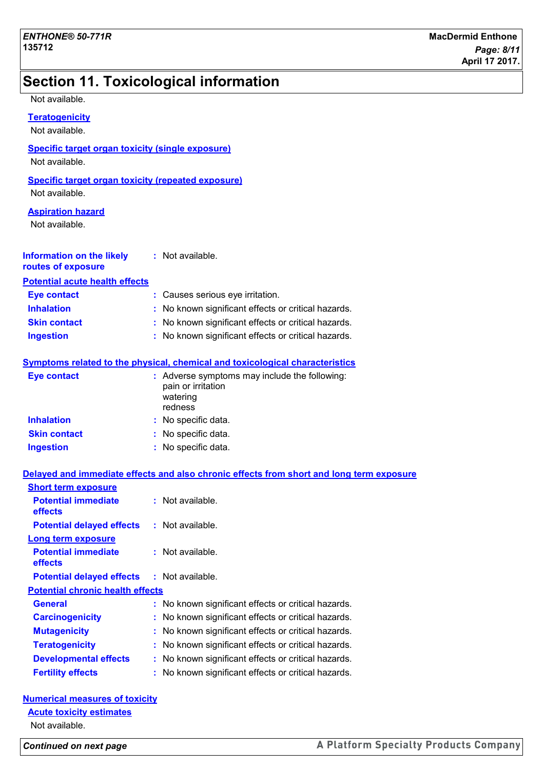## **Section 11. Toxicological information**

| Not available. |  |
|----------------|--|
|----------------|--|

| Teratogenicitv |  |
|----------------|--|
| Not available. |  |

#### **Specific target organ toxicity (single exposure)**

Not available.

#### **Specific target organ toxicity (repeated exposure)**

Not available.

#### **Aspiration hazard**

Not available.

| Information on the likely | : Not available. |
|---------------------------|------------------|
| routes of exposure        |                  |

#### **Potential acute health effects**

| <b>Eye contact</b>  | : Causes serious eye irritation.                    |
|---------------------|-----------------------------------------------------|
| <b>Inhalation</b>   | : No known significant effects or critical hazards. |
| <b>Skin contact</b> | : No known significant effects or critical hazards. |
| <b>Ingestion</b>    | : No known significant effects or critical hazards. |

#### **Symptoms related to the physical, chemical and toxicological characteristics**

| Eye contact         | : Adverse symptoms may include the following:<br>pain or irritation<br>watering<br>redness |
|---------------------|--------------------------------------------------------------------------------------------|
| <b>Inhalation</b>   | : No specific data.                                                                        |
| <b>Skin contact</b> | : No specific data.                                                                        |
| <b>Ingestion</b>    | : No specific data.                                                                        |

#### **Delayed and immediate effects and also chronic effects from short and long term exposure**

| <b>Short term exposure</b>              |                                                     |
|-----------------------------------------|-----------------------------------------------------|
| <b>Potential immediate</b><br>effects   | $:$ Not available.                                  |
| <b>Potential delayed effects</b>        | : Not available.                                    |
| <b>Long term exposure</b>               |                                                     |
| <b>Potential immediate</b><br>effects   | $:$ Not available.                                  |
| <b>Potential delayed effects</b>        | : Not available.                                    |
| <b>Potential chronic health effects</b> |                                                     |
| <b>General</b>                          | : No known significant effects or critical hazards. |
| <b>Carcinogenicity</b>                  | No known significant effects or critical hazards.   |
| <b>Mutagenicity</b>                     | : No known significant effects or critical hazards. |
| <b>Teratogenicity</b>                   | : No known significant effects or critical hazards. |
| <b>Developmental effects</b>            | : No known significant effects or critical hazards. |
| <b>Fertility effects</b>                | No known significant effects or critical hazards.   |

#### **Numerical measures of toxicity**

#### **Acute toxicity estimates**

Not available.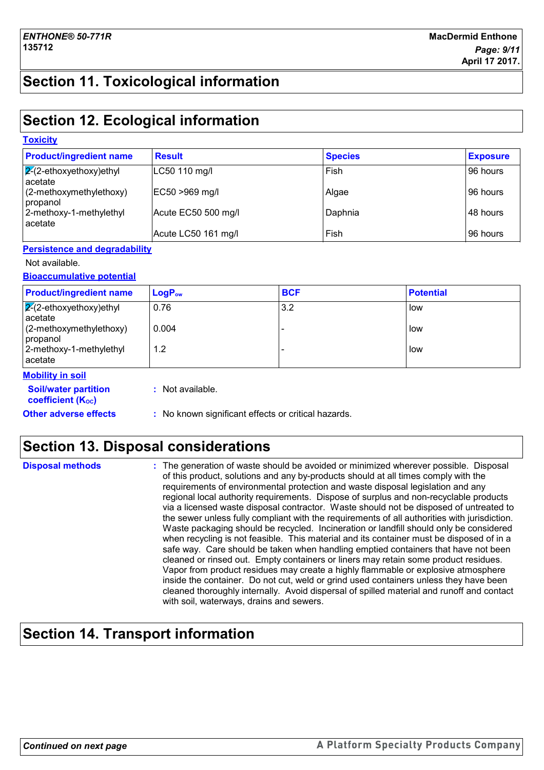## **Section 11. Toxicological information**

## **Section 12. Ecological information**

| <b>Toxicity</b>                           |                     |                |                 |
|-------------------------------------------|---------------------|----------------|-----------------|
| <b>Product/ingredient name</b>            | <b>Result</b>       | <b>Species</b> | <b>Exposure</b> |
| $\sqrt{2}$ -ethoxyethoxy)ethyl<br>acetate | LC50 110 mg/l       | Fish           | 96 hours        |
| $(2-methoxymethylethoxy)$<br>  propanol   | EC50 >969 mg/l      | Algae          | 96 hours        |
| 2-methoxy-1-methylethyl<br>acetate        | Acute EC50 500 mg/l | Daphnia        | 48 hours        |
|                                           | Acute LC50 161 mg/l | Fish           | 96 hours        |

#### **Persistence and degradability**

#### Not available.

#### **Bioaccumulative potential**

| <b>Product/ingredient name</b>            | $LogP_{ow}$ | <b>BCF</b> | <b>Potential</b> |
|-------------------------------------------|-------------|------------|------------------|
| $\sqrt{2}$ -ethoxyethoxy)ethyl<br>acetate | 0.76        | 3.2        | low              |
| $(2-methoxymethylethoxy)$<br>propanol     | 0.004       |            | low              |
| 2-methoxy-1-methylethyl<br>acetate        | 1.2         |            | low              |
| <b>Mobility in soil</b>                   |             |            |                  |

**Soil/water partition :** Not available.

**coefficient (K**<sub>oc</sub>)

#### **Other adverse effects** : No known significant effects or critical hazards.

## **Section 13. Disposal considerations**

| <b>Disposal methods</b> | : The generation of waste should be avoided or minimized wherever possible. Disposal<br>of this product, solutions and any by-products should at all times comply with the<br>requirements of environmental protection and waste disposal legislation and any<br>regional local authority requirements. Dispose of surplus and non-recyclable products<br>via a licensed waste disposal contractor. Waste should not be disposed of untreated to<br>the sewer unless fully compliant with the requirements of all authorities with jurisdiction.<br>Waste packaging should be recycled. Incineration or landfill should only be considered<br>when recycling is not feasible. This material and its container must be disposed of in a<br>safe way. Care should be taken when handling emptied containers that have not been<br>cleaned or rinsed out. Empty containers or liners may retain some product residues.<br>Vapor from product residues may create a highly flammable or explosive atmosphere |
|-------------------------|----------------------------------------------------------------------------------------------------------------------------------------------------------------------------------------------------------------------------------------------------------------------------------------------------------------------------------------------------------------------------------------------------------------------------------------------------------------------------------------------------------------------------------------------------------------------------------------------------------------------------------------------------------------------------------------------------------------------------------------------------------------------------------------------------------------------------------------------------------------------------------------------------------------------------------------------------------------------------------------------------------|
|                         | inside the container. Do not cut, weld or grind used containers unless they have been<br>cleaned thoroughly internally. Avoid dispersal of spilled material and runoff and contact<br>with soil, waterways, drains and sewers.                                                                                                                                                                                                                                                                                                                                                                                                                                                                                                                                                                                                                                                                                                                                                                           |

## **Section 14. Transport information**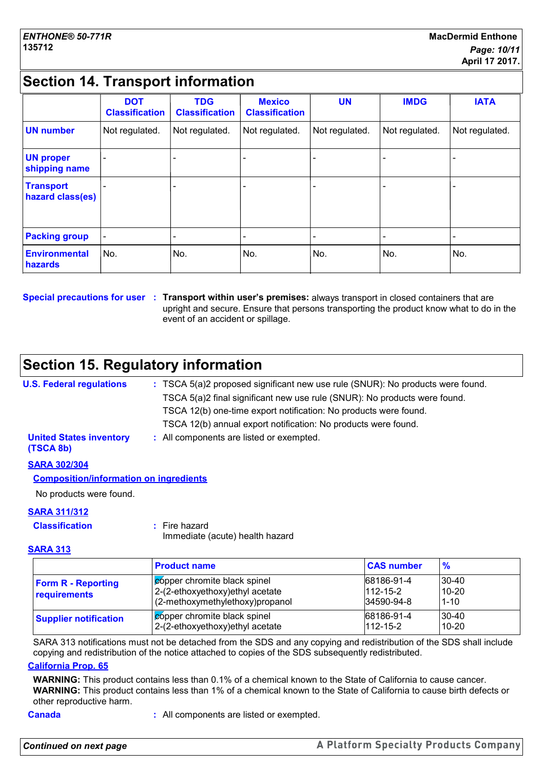## **Section 14. Transport information**

|                                      | <b>DOT</b><br><b>Classification</b> | <b>TDG</b><br><b>Classification</b> | <b>Mexico</b><br><b>Classification</b> | <b>UN</b>      | <b>IMDG</b>    | <b>IATA</b>              |
|--------------------------------------|-------------------------------------|-------------------------------------|----------------------------------------|----------------|----------------|--------------------------|
| <b>UN number</b>                     | Not regulated.                      | Not regulated.                      | Not regulated.                         | Not regulated. | Not regulated. | Not regulated.           |
| <b>UN proper</b><br>shipping name    |                                     |                                     |                                        |                |                |                          |
| <b>Transport</b><br>hazard class(es) |                                     |                                     |                                        |                |                |                          |
| <b>Packing group</b>                 |                                     |                                     |                                        |                |                | $\overline{\phantom{0}}$ |
| Environmental<br>hazards             | No.                                 | No.                                 | No.                                    | No.            | No.            | No.                      |

#### **Special precautions for user Transport within user's premises:** always transport in closed containers that are **:** upright and secure. Ensure that persons transporting the product know what to do in the event of an accident or spillage.

## **Section 15. Regulatory information**

#### **U.S. Federal regulations :** TSCA 5(a)2 proposed significant new use rule (SNUR): No products were found. **SARA 302/304** TSCA 5(a)2 final significant new use rule (SNUR): No products were found. TSCA 12(b) one-time export notification: No products were found. TSCA 12(b) annual export notification: No products were found. **United States inventory (TSCA 8b) :** All components are listed or exempted.

#### **Composition/information on ingredients**

No products were found.

#### **SARA 311/312**

| <b>Classification</b> | $:$ Fire hazard |
|-----------------------|-----------------|
|                       |                 |

Immediate (acute) health hazard

#### **SARA 313**

|                                           | <b>Product name</b>                                                                                        | <b>CAS number</b>                          | $\frac{9}{6}$                      |
|-------------------------------------------|------------------------------------------------------------------------------------------------------------|--------------------------------------------|------------------------------------|
| <b>Form R - Reporting</b><br>requirements | <b>Copper chromite black spinel</b><br>2-(2-ethoxyethoxy) ethyl acetate<br>(2-methoxymethylethoxy)propanol | 68186-91-4<br>$112 - 15 - 2$<br>34590-94-8 | $30 - 40$<br>$10 - 20$<br>$1 - 10$ |
| <b>Supplier notification</b>              | copper chromite black spinel<br>2-(2-ethoxyethoxy) ethyl acetate                                           | 68186-91-4<br>$112 - 15 - 2$               | $30 - 40$<br>$10 - 20$             |

SARA 313 notifications must not be detached from the SDS and any copying and redistribution of the SDS shall include copying and redistribution of the notice attached to copies of the SDS subsequently redistributed.

#### **California Prop. 65**

**WARNING:** This product contains less than 0.1% of a chemical known to the State of California to cause cancer. **WARNING:** This product contains less than 1% of a chemical known to the State of California to cause birth defects or other reproductive harm.

**Canada :** All components are listed or exempted.

*Continued on next page*